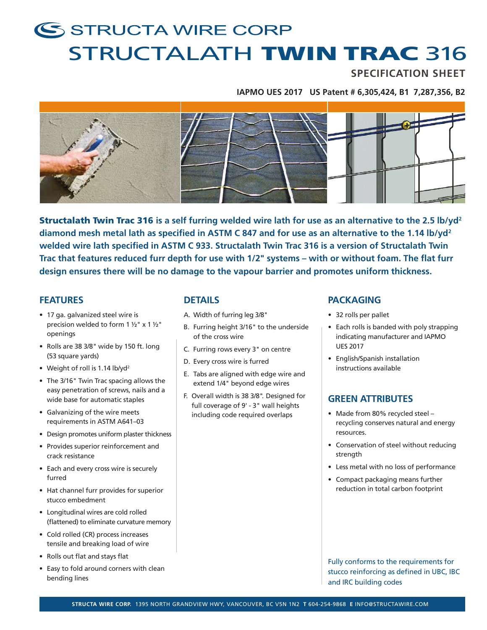# S STRUCTA WIRE CORP STRUCTALATH TWIN TRAC 316

## **SPECIFICATION SHEET**

**IAPMO UES 2017 US Patent # 6,305,424, B1 7,287,356, B2**



Structalath Twin Trac 316 **is a self furring welded wire lath for use as an alternative to the 2.5 lb/yd2 diamond mesh metal lath as specified in ASTM C 847 and for use as an alternative to the 1.14 lb/yd2 welded wire lath specified in ASTM C 933. Structalath Twin Trac 316 is a version of Structalath Twin Trac that features reduced furr depth for use with 1/2" systems – with or without foam. The flat furr design ensures there will be no damage to the vapour barrier and promotes uniform thickness.**

#### **FEATURES**

- 17 ga. galvanized steel wire is precision welded to form  $1 \frac{1}{2}$ " x  $1 \frac{1}{2}$ " openings
- Rolls are 38 3/8" wide by 150 ft. long (53 square yards)
- Weight of roll is 1.14 lb/yd<sup>2</sup>
- The 3/16" Twin Trac spacing allows the easy penetration of screws, nails and a wide base for automatic staples
- Galvanizing of the wire meets requirements in ASTM A641–03
- Design promotes uniform plaster thickness
- Provides superior reinforcement and crack resistance
- Each and every cross wire is securely furred
- Hat channel furr provides for superior stucco embedment
- Longitudinal wires are cold rolled (flattened) to eliminate curvature memory
- Cold rolled (CR) process increases tensile and breaking load of wire
- Rolls out flat and stays flat
- Easy to fold around corners with clean bending lines

## **DETAILS**

- A. Width of furring leg 3/8"
- B. Furring height 3/16" to the underside of the cross wire
- C. Furring rows every 3" on centre
- D. Every cross wire is furred
- E. Tabs are aligned with edge wire and extend 1/4" beyond edge wires
- F. Overall width is 38 3/8". Designed for full coverage of 9' - 3" wall heights including code required overlaps

#### **PACKAGING**

- 32 rolls per pallet
- Each rolls is banded with poly strapping indicating manufacturer and IAPMO UES 2017
- English/Spanish installation instructions available

## **GREEN ATTRIBUTES**

- Made from 80% recycled steel recycling conserves natural and energy resources.
- Conservation of steel without reducing strength
- Less metal with no loss of performance
- Compact packaging means further reduction in total carbon footprint

Fully conforms to the requirements for stucco reinforcing as defined in UBC, IBC and IRC building codes